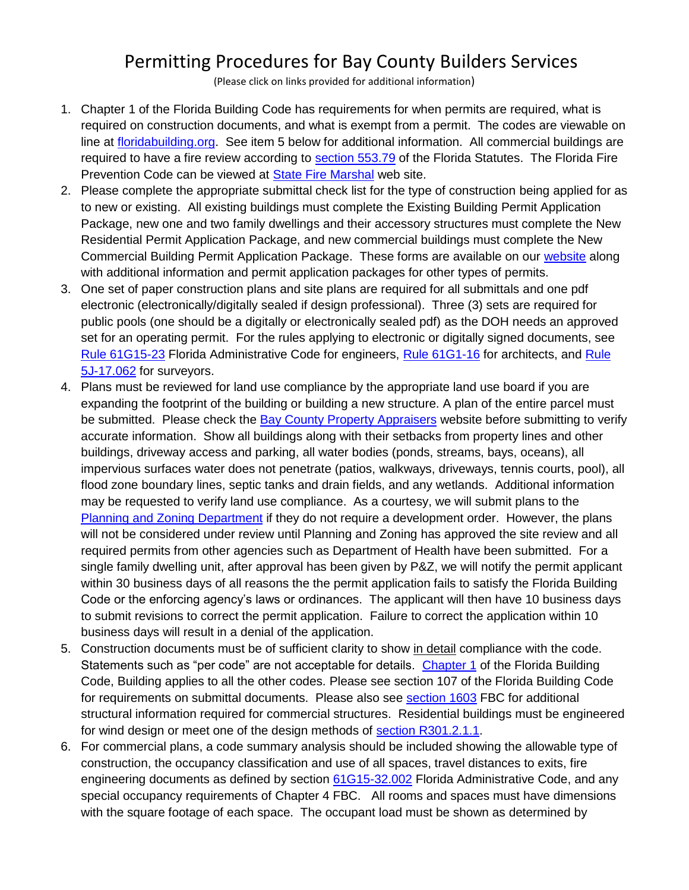## Permitting Procedures for Bay County Builders Services

(Please click on links provided for additional information)

- 1. Chapter 1 of the Florida Building Code has requirements for when permits are required, what is required on construction documents, and what is exempt from a permit. The codes are viewable on line at [floridabuilding.org.](https://codes.iccsafe.org/codes/florida) See item 5 below for additional information. All commercial buildings are required to have a fire review according to [section 553.79](https://www.flsenate.gov/Laws/Statutes/2021/0553.79) of the Florida Statutes. The Florida Fire Prevention Code can be viewed at [State Fire Marshal](https://www.myfloridacfo.com/division/sfm/BFP/FloridaFirePreventionCodePage.htm) web site.
- 2. Please complete the appropriate submittal check list for the type of construction being applied for as to new or existing. All existing buildings must complete the Existing Building Permit Application Package, new one and two family dwellings and their accessory structures must complete the New Residential Permit Application Package, and new commercial buildings must complete the New Commercial Building Permit Application Package. These forms are available on our [website](https://www.baycountyfl.gov/154/Builders-Services) along with additional information and permit application packages for other types of permits.
- 3. One set of paper construction plans and site plans are required for all submittals and one pdf electronic (electronically/digitally sealed if design professional). Three (3) sets are required for public pools (one should be a digitally or electronically sealed pdf) as the DOH needs an approved set for an operating permit. For the rules applying to electronic or digitally signed documents, see [Rule 61G15-23](https://www.flrules.org/gateway/ChapterHome.asp?Chapter=61G15-23) Florida Administrative Code for engineers, [Rule 61G1-16](https://www.flrules.org/gateway/ChapterHome.asp?Chapter=61G1-16) for architects, and [Rule](https://www.flrules.org/gateway/ChapterHome.asp?Chapter=5J-17)  [5J-17.062](https://www.flrules.org/gateway/ChapterHome.asp?Chapter=5J-17) for surveyors.
- 4. Plans must be reviewed for land use compliance by the appropriate land use board if you are expanding the footprint of the building or building a new structure. A plan of the entire parcel must be submitted. Please check the **Bay County Property Appraisers** website before submitting to verify accurate information. Show all buildings along with their setbacks from property lines and other buildings, driveway access and parking, all water bodies (ponds, streams, bays, oceans), all impervious surfaces water does not penetrate (patios, walkways, driveways, tennis courts, pool), all flood zone boundary lines, septic tanks and drain fields, and any wetlands. Additional information may be requested to verify land use compliance. As a courtesy, we will submit plans to the [Planning and Zoning Department](https://www.baycountyfl.gov/276/Planning-Zoning) if they do not require a development order. However, the plans will not be considered under review until Planning and Zoning has approved the site review and all required permits from other agencies such as Department of Health have been submitted. For a single family dwelling unit, after approval has been given by P&Z, we will notify the permit applicant within 30 business days of all reasons the the permit application fails to satisfy the Florida Building Code or the enforcing agency's laws or ordinances. The applicant will then have 10 business days to submit revisions to correct the permit application. Failure to correct the application within 10 business days will result in a denial of the application.
- 5. Construction documents must be of sufficient clarity to show in detail compliance with the code. Statements such as "per code" are not acceptable for details. [Chapter 1](https://codes.iccsafe.org/content/FLBC2020P1/chapter-1-scope-and-administration) of the Florida Building Code, Building applies to all the other codes. Please see section 107 of the Florida Building Code for requirements on submittal documents. Please also see [section 1603](https://codes.iccsafe.org/content/FLBC2020P1/chapter-16-structural-design#FLBC2020P1_Ch16_Sec1603) FBC for additional structural information required for commercial structures. Residential buildings must be engineered for wind design or meet one of the design methods of [section R301.2.1.1.](https://codes.iccsafe.org/content/FLRC2020P1/chapter-3-building-planning#FLRC2020P1_Pt03_Ch03_SecR301.2.1)
- 6. For commercial plans, a code summary analysis should be included showing the allowable type of construction, the occupancy classification and use of all spaces, travel distances to exits, fire engineering documents as defined by section [61G15-32.002](https://www.flrules.org/gateway/ChapterHome.asp?Chapter=61G15-32) Florida Administrative Code, and any special occupancy requirements of Chapter 4 FBC. All rooms and spaces must have dimensions with the square footage of each space. The occupant load must be shown as determined by